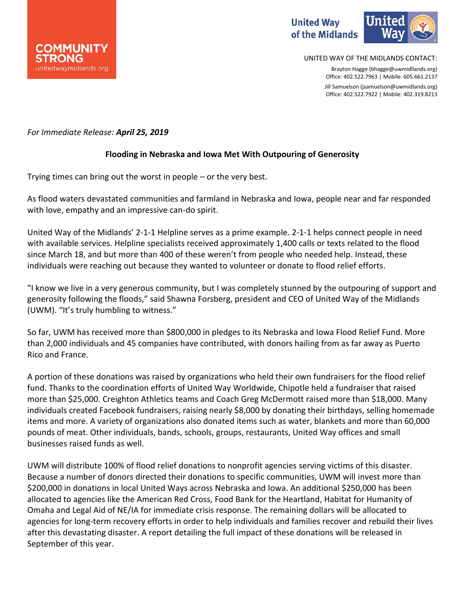



UNITED WAY OF THE MIDLANDS CONTACT:

Brayton Hagge (bhagge@uwmidllands.org) Office: 402.522.7963 | Mobile: 605.661.2137 Jill Samuelson (jsamuelson@uwmidlands.org) Office: 402.522.7922 | Mobile: 402.319.8213

## *For Immediate Release: April 25, 2019*

## **Flooding in Nebraska and Iowa Met With Outpouring of Generosity**

Trying times can bring out the worst in people – or the very best.

As flood waters devastated communities and farmland in Nebraska and Iowa, people near and far responded with love, empathy and an impressive can-do spirit.

United Way of the Midlands' 2-1-1 Helpline serves as a prime example. 2-1-1 helps connect people in need with available services. Helpline specialists received approximately 1,400 calls or texts related to the flood since March 18, and but more than 400 of these weren't from people who needed help. Instead, these individuals were reaching out because they wanted to volunteer or donate to flood relief efforts.

"I know we live in a very generous community, but I was completely stunned by the outpouring of support and generosity following the floods," said Shawna Forsberg, president and CEO of United Way of the Midlands (UWM). "It's truly humbling to witness."

So far, UWM has received more than \$800,000 in pledges to its Nebraska and Iowa Flood Relief Fund. More than 2,000 individuals and 45 companies have contributed, with donors hailing from as far away as Puerto Rico and France.

A portion of these donations was raised by organizations who held their own fundraisers for the flood relief fund. Thanks to the coordination efforts of United Way Worldwide, Chipotle held a fundraiser that raised more than \$25,000. Creighton Athletics teams and Coach Greg McDermott raised more than \$18,000. Many individuals created Facebook fundraisers, raising nearly \$8,000 by donating their birthdays, selling homemade items and more. A variety of organizations also donated items such as water, blankets and more than 60,000 pounds of meat. Other individuals, bands, schools, groups, restaurants, United Way offices and small businesses raised funds as well.

UWM will distribute 100% of flood relief donations to nonprofit agencies serving victims of this disaster. Because a number of donors directed their donations to specific communities, UWM will invest more than \$200,000 in donations in local United Ways across Nebraska and Iowa. An additional \$250,000 has been allocated to agencies like the American Red Cross, Food Bank for the Heartland, Habitat for Humanity of Omaha and Legal Aid of NE/IA for immediate crisis response. The remaining dollars will be allocated to agencies for long-term recovery efforts in order to help individuals and families recover and rebuild their lives after this devastating disaster. A report detailing the full impact of these donations will be released in September of this year.